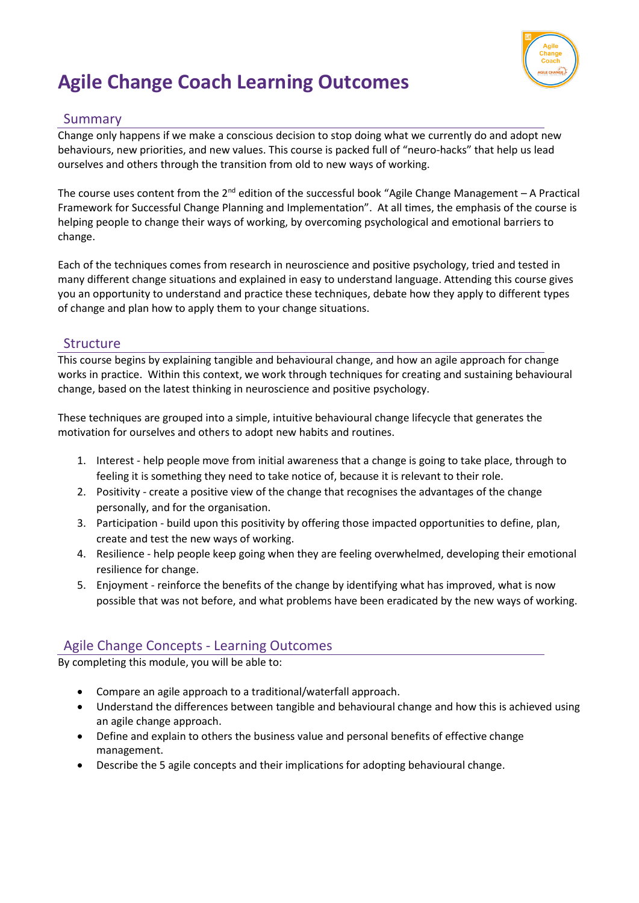

# **Agile Change Coach Learning Outcomes**

#### Summary

Change only happens if we make a conscious decision to stop doing what we currently do and adopt new behaviours, new priorities, and new values. This course is packed full of "neuro-hacks" that help us lead ourselves and others through the transition from old to new ways of working.

The course uses content from the 2<sup>nd</sup> edition of the successful book "Agile Change Management - A Practical Framework for Successful Change Planning and Implementation". At all times, the emphasis of the course is helping people to change their ways of working, by overcoming psychological and emotional barriers to change.

Each of the techniques comes from research in neuroscience and positive psychology, tried and tested in many different change situations and explained in easy to understand language. Attending this course gives you an opportunity to understand and practice these techniques, debate how they apply to different types of change and plan how to apply them to your change situations.

#### **Structure**

This course begins by explaining tangible and behavioural change, and how an agile approach for change works in practice. Within this context, we work through techniques for creating and sustaining behavioural change, based on the latest thinking in neuroscience and positive psychology.

These techniques are grouped into a simple, intuitive behavioural change lifecycle that generates the motivation for ourselves and others to adopt new habits and routines.

- 1. Interest help people move from initial awareness that a change is going to take place, through to feeling it is something they need to take notice of, because it is relevant to their role.
- 2. Positivity create a positive view of the change that recognises the advantages of the change personally, and for the organisation.
- 3. Participation build upon this positivity by offering those impacted opportunities to define, plan, create and test the new ways of working.
- 4. Resilience help people keep going when they are feeling overwhelmed, developing their emotional resilience for change.
- 5. Enjoyment reinforce the benefits of the change by identifying what has improved, what is now possible that was not before, and what problems have been eradicated by the new ways of working.

#### Agile Change Concepts - Learning Outcomes

By completing this module, you will be able to:

- Compare an agile approach to a traditional/waterfall approach.
- Understand the differences between tangible and behavioural change and how this is achieved using an agile change approach.
- Define and explain to others the business value and personal benefits of effective change management.
- Describe the 5 agile concepts and their implications for adopting behavioural change.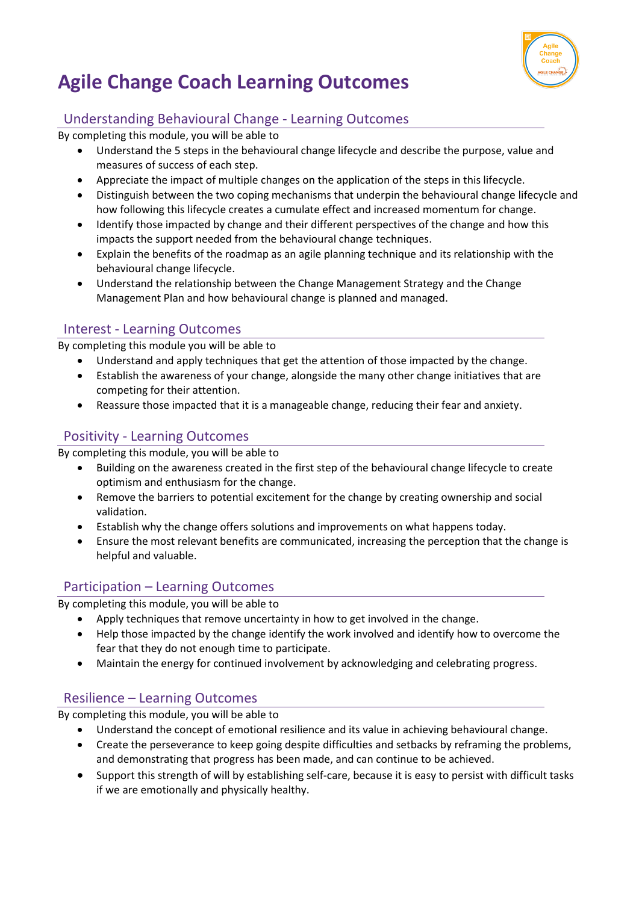

# **Agile Change Coach Learning Outcomes**

## Understanding Behavioural Change - Learning Outcomes

By completing this module, you will be able to

- Understand the 5 steps in the behavioural change lifecycle and describe the purpose, value and measures of success of each step.
- Appreciate the impact of multiple changes on the application of the steps in this lifecycle.
- Distinguish between the two coping mechanisms that underpin the behavioural change lifecycle and how following this lifecycle creates a cumulate effect and increased momentum for change.
- Identify those impacted by change and their different perspectives of the change and how this impacts the support needed from the behavioural change techniques.
- Explain the benefits of the roadmap as an agile planning technique and its relationship with the behavioural change lifecycle.
- Understand the relationship between the Change Management Strategy and the Change Management Plan and how behavioural change is planned and managed.

### Interest - Learning Outcomes

By completing this module you will be able to

- Understand and apply techniques that get the attention of those impacted by the change.
- Establish the awareness of your change, alongside the many other change initiatives that are competing for their attention.
- Reassure those impacted that it is a manageable change, reducing their fear and anxiety.

## Positivity - Learning Outcomes

By completing this module, you will be able to

- Building on the awareness created in the first step of the behavioural change lifecycle to create optimism and enthusiasm for the change.
- Remove the barriers to potential excitement for the change by creating ownership and social validation.
- Establish why the change offers solutions and improvements on what happens today.
- Ensure the most relevant benefits are communicated, increasing the perception that the change is helpful and valuable.

#### Participation – Learning Outcomes

By completing this module, you will be able to

- Apply techniques that remove uncertainty in how to get involved in the change.
- Help those impacted by the change identify the work involved and identify how to overcome the fear that they do not enough time to participate.
- Maintain the energy for continued involvement by acknowledging and celebrating progress.

## Resilience – Learning Outcomes

By completing this module, you will be able to

- Understand the concept of emotional resilience and its value in achieving behavioural change.
- Create the perseverance to keep going despite difficulties and setbacks by reframing the problems, and demonstrating that progress has been made, and can continue to be achieved.
- Support this strength of will by establishing self-care, because it is easy to persist with difficult tasks if we are emotionally and physically healthy.